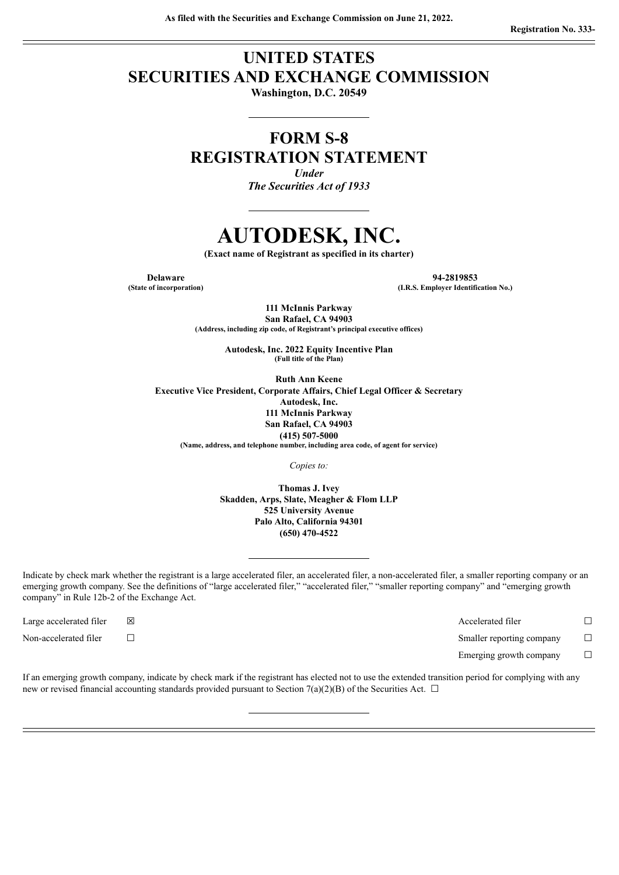# **UNITED STATES SECURITIES AND EXCHANGE COMMISSION**

**Washington, D.C. 20549**

# **FORM S-8 REGISTRATION STATEMENT**

*Under The Securities Act of 1933*

# **AUTODESK, INC.**

**(Exact name of Registrant as specified in its charter)**

**Delaware 94-2819853 (State of incorporation) (I.R.S. Employer Identification No.)**

> **111 McInnis Parkway San Rafael, CA 94903 (Address, including zip code, of Registrant's principal executive offices)**

> > **Autodesk, Inc. 2022 Equity Incentive Plan (Full title of the Plan)**

**Ruth Ann Keene Executive Vice President, Corporate Affairs, Chief Legal Officer & Secretary Autodesk, Inc. 111 McInnis Parkway San Rafael, CA 94903 (415) 507-5000 (Name, address, and telephone number, including area code, of agent for service)**

*Copies to:*

**Thomas J. Ivey Skadden, Arps, Slate, Meagher & Flom LLP 525 University Avenue Palo Alto, California 94301 (650) 470-4522**

Indicate by check mark whether the registrant is a large accelerated filer, an accelerated filer, a non-accelerated filer, a smaller reporting company or an emerging growth company. See the definitions of "large accelerated filer," "accelerated filer," "smaller reporting company" and "emerging growth company" in Rule 12b-2 of the Exchange Act.

Large accelerated filer ☒ Accelerated filer ☐ Non-accelerated filer ☐ Smaller reporting company ☐

Emerging growth company  $\Box$ 

If an emerging growth company, indicate by check mark if the registrant has elected not to use the extended transition period for complying with any new or revised financial accounting standards provided pursuant to Section 7(a)(2)(B) of the Securities Act.  $\Box$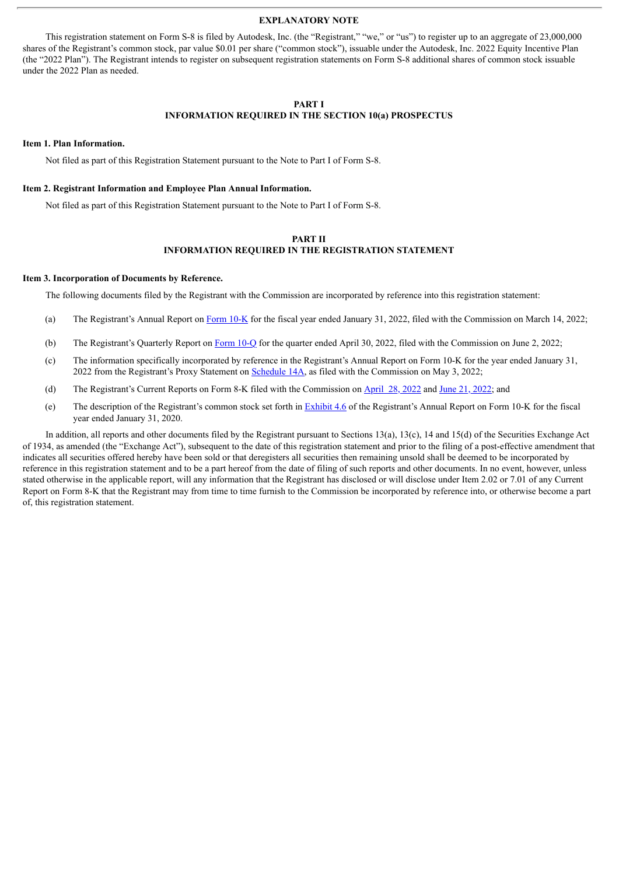#### **EXPLANATORY NOTE**

This registration statement on Form S-8 is filed by Autodesk, Inc. (the "Registrant," "we," or "us") to register up to an aggregate of 23,000,000 shares of the Registrant's common stock, par value \$0.01 per share ("common stock"), issuable under the Autodesk, Inc. 2022 Equity Incentive Plan (the "2022 Plan"). The Registrant intends to register on subsequent registration statements on Form S-8 additional shares of common stock issuable under the 2022 Plan as needed.

#### **PART I**

#### **INFORMATION REQUIRED IN THE SECTION 10(a) PROSPECTUS**

### **Item 1. Plan Information.**

Not filed as part of this Registration Statement pursuant to the Note to Part I of Form S-8.

#### **Item 2. Registrant Information and Employee Plan Annual Information.**

Not filed as part of this Registration Statement pursuant to the Note to Part I of Form S-8.

#### **PART II INFORMATION REQUIRED IN THE REGISTRATION STATEMENT**

#### **Item 3. Incorporation of Documents by Reference.**

The following documents filed by the Registrant with the Commission are incorporated by reference into this registration statement:

- (a) The Registrant's Annual Report on [Form](http://www.sec.gov/ix?doc=/Archives/edgar/data/769397/000076939722000019/adsk-20220131.htm) 10-K for the fiscal year ended January 31, 2022, filed with the Commission on March 14, 2022;
- (b) The Registrant's Quarterly Report on [Form](http://www.sec.gov/ix?doc=/Archives/edgar/data/769397/000076939722000074/adsk-20220430.htm) 10-Q for the quarter ended April 30, 2022, filed with the Commission on June 2, 2022;
- (c) The information specifically incorporated by reference in the Registrant's Annual Report on Form 10-K for the year ended January 31, 2022 from the Registrant's Proxy Statement on [Schedule](http://www.sec.gov/Archives/edgar/data/769397/000076939722000059/proxydocument2022.htm) 14A, as filed with the Commission on May 3, 2022;
- (d) The Registrant's Current Reports on Form 8-K filed with the Commission on [April](http://www.sec.gov/ix?doc=/Archives/edgar/data/769397/000076939722000051/adsk-20220427.htm) 28, 2022 and June 21, [2022;](http://www.sec.gov/ix?doc=/Archives/edgar/data/0000769397/000076939722000079/adsk-20220616.htm) and
- (e) The description of the Registrant's common stock set forth in [Exhibit](http://www.sec.gov/Archives/edgar/data/769397/000076939720000013/ex46autodesk-descripti.htm) 4.6 of the Registrant's Annual Report on Form 10-K for the fiscal year ended January 31, 2020.

In addition, all reports and other documents filed by the Registrant pursuant to Sections 13(a), 13(c), 14 and 15(d) of the Securities Exchange Act of 1934, as amended (the "Exchange Act"), subsequent to the date of this registration statement and prior to the filing of a post-effective amendment that indicates all securities offered hereby have been sold or that deregisters all securities then remaining unsold shall be deemed to be incorporated by reference in this registration statement and to be a part hereof from the date of filing of such reports and other documents. In no event, however, unless stated otherwise in the applicable report, will any information that the Registrant has disclosed or will disclose under Item 2.02 or 7.01 of any Current Report on Form 8-K that the Registrant may from time to time furnish to the Commission be incorporated by reference into, or otherwise become a part of, this registration statement.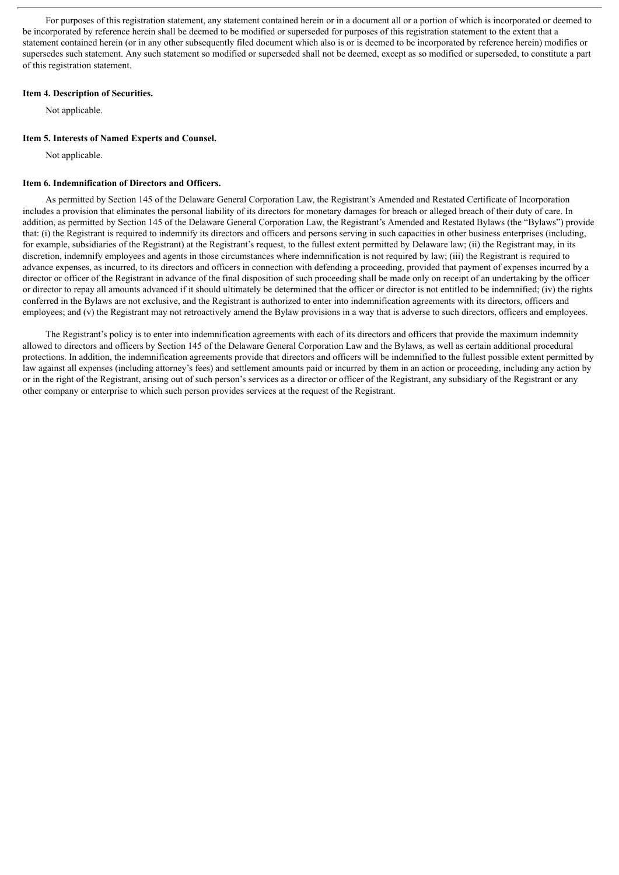For purposes of this registration statement, any statement contained herein or in a document all or a portion of which is incorporated or deemed to be incorporated by reference herein shall be deemed to be modified or superseded for purposes of this registration statement to the extent that a statement contained herein (or in any other subsequently filed document which also is or is deemed to be incorporated by reference herein) modifies or supersedes such statement. Any such statement so modified or superseded shall not be deemed, except as so modified or superseded, to constitute a part of this registration statement.

#### **Item 4. Description of Securities.**

Not applicable.

#### **Item 5. Interests of Named Experts and Counsel.**

Not applicable.

#### **Item 6. Indemnification of Directors and Officers.**

As permitted by Section 145 of the Delaware General Corporation Law, the Registrant's Amended and Restated Certificate of Incorporation includes a provision that eliminates the personal liability of its directors for monetary damages for breach or alleged breach of their duty of care. In addition, as permitted by Section 145 of the Delaware General Corporation Law, the Registrant's Amended and Restated Bylaws (the "Bylaws") provide that: (i) the Registrant is required to indemnify its directors and officers and persons serving in such capacities in other business enterprises (including, for example, subsidiaries of the Registrant) at the Registrant's request, to the fullest extent permitted by Delaware law; (ii) the Registrant may, in its discretion, indemnify employees and agents in those circumstances where indemnification is not required by law; (iii) the Registrant is required to advance expenses, as incurred, to its directors and officers in connection with defending a proceeding, provided that payment of expenses incurred by a director or officer of the Registrant in advance of the final disposition of such proceeding shall be made only on receipt of an undertaking by the officer or director to repay all amounts advanced if it should ultimately be determined that the officer or director is not entitled to be indemnified; (iv) the rights conferred in the Bylaws are not exclusive, and the Registrant is authorized to enter into indemnification agreements with its directors, officers and employees; and (v) the Registrant may not retroactively amend the Bylaw provisions in a way that is adverse to such directors, officers and employees.

The Registrant's policy is to enter into indemnification agreements with each of its directors and officers that provide the maximum indemnity allowed to directors and officers by Section 145 of the Delaware General Corporation Law and the Bylaws, as well as certain additional procedural protections. In addition, the indemnification agreements provide that directors and officers will be indemnified to the fullest possible extent permitted by law against all expenses (including attorney's fees) and settlement amounts paid or incurred by them in an action or proceeding, including any action by or in the right of the Registrant, arising out of such person's services as a director or officer of the Registrant, any subsidiary of the Registrant or any other company or enterprise to which such person provides services at the request of the Registrant.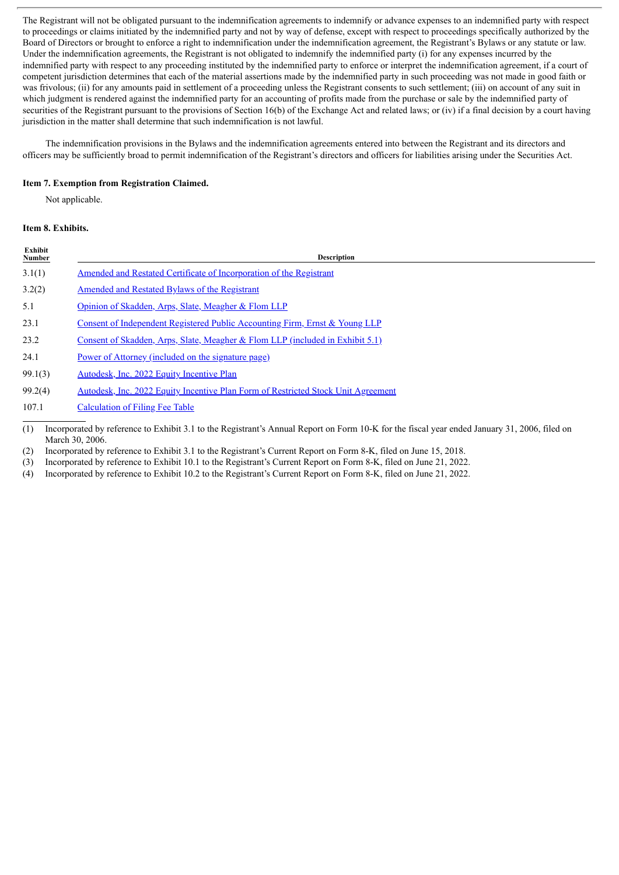The Registrant will not be obligated pursuant to the indemnification agreements to indemnify or advance expenses to an indemnified party with respect to proceedings or claims initiated by the indemnified party and not by way of defense, except with respect to proceedings specifically authorized by the Board of Directors or brought to enforce a right to indemnification under the indemnification agreement, the Registrant's Bylaws or any statute or law. Under the indemnification agreements, the Registrant is not obligated to indemnify the indemnified party (i) for any expenses incurred by the indemnified party with respect to any proceeding instituted by the indemnified party to enforce or interpret the indemnification agreement, if a court of competent jurisdiction determines that each of the material assertions made by the indemnified party in such proceeding was not made in good faith or was frivolous; (ii) for any amounts paid in settlement of a proceeding unless the Registrant consents to such settlement; (iii) on account of any suit in which judgment is rendered against the indemnified party for an accounting of profits made from the purchase or sale by the indemnified party of securities of the Registrant pursuant to the provisions of Section 16(b) of the Exchange Act and related laws; or (iv) if a final decision by a court having jurisdiction in the matter shall determine that such indemnification is not lawful.

The indemnification provisions in the Bylaws and the indemnification agreements entered into between the Registrant and its directors and officers may be sufficiently broad to permit indemnification of the Registrant's directors and officers for liabilities arising under the Securities Act.

### **Item 7. Exemption from Registration Claimed.**

Not applicable.

### **Item 8. Exhibits.**

| Exhibit<br><b>Number</b> | <b>Description</b>                                                                |  |  |  |  |  |  |  |
|--------------------------|-----------------------------------------------------------------------------------|--|--|--|--|--|--|--|
| 3.1(1)                   | Amended and Restated Certificate of Incorporation of the Registrant               |  |  |  |  |  |  |  |
| 3.2(2)                   | Amended and Restated Bylaws of the Registrant                                     |  |  |  |  |  |  |  |
| 5.1                      | Opinion of Skadden, Arps, Slate, Meagher & Flom LLP                               |  |  |  |  |  |  |  |
| 23.1                     | Consent of Independent Registered Public Accounting Firm, Ernst & Young LLP       |  |  |  |  |  |  |  |
| 23.2                     | Consent of Skadden, Arps, Slate, Meagher & Flom LLP (included in Exhibit 5.1)     |  |  |  |  |  |  |  |
| 24.1                     | Power of Attorney (included on the signature page)                                |  |  |  |  |  |  |  |
| 99.1(3)                  | Autodesk, Inc. 2022 Equity Incentive Plan                                         |  |  |  |  |  |  |  |
| 99.2(4)                  | Autodesk, Inc. 2022 Equity Incentive Plan Form of Restricted Stock Unit Agreement |  |  |  |  |  |  |  |
| 107.1                    | <b>Calculation of Filing Fee Table</b>                                            |  |  |  |  |  |  |  |
|                          |                                                                                   |  |  |  |  |  |  |  |

(1) Incorporated by reference to Exhibit 3.1 to the Registrant's Annual Report on Form 10-K for the fiscal year ended January 31, 2006, filed on March 30, 2006.

(2) Incorporated by reference to Exhibit 3.1 to the Registrant's Current Report on Form 8-K, filed on June 15, 2018.

(3) Incorporated by reference to Exhibit 10.1 to the Registrant's Current Report on Form 8-K, filed on June 21, 2022.

(4) Incorporated by reference to Exhibit 10.2 to the Registrant's Current Report on Form 8-K, filed on June 21, 2022.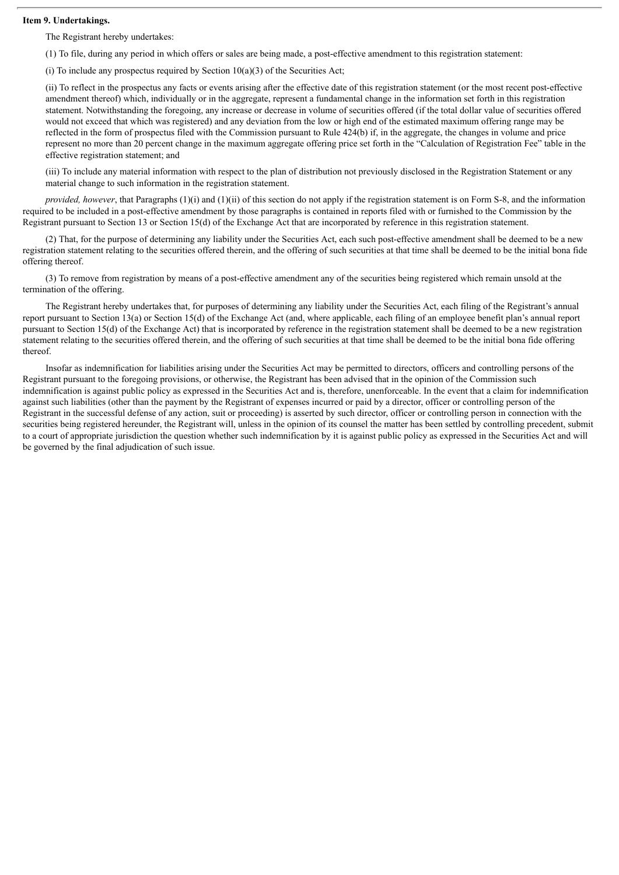#### **Item 9. Undertakings.**

The Registrant hereby undertakes:

(1) To file, during any period in which offers or sales are being made, a post-effective amendment to this registration statement:

(i) To include any prospectus required by Section  $10(a)(3)$  of the Securities Act;

(ii) To reflect in the prospectus any facts or events arising after the effective date of this registration statement (or the most recent post-effective amendment thereof) which, individually or in the aggregate, represent a fundamental change in the information set forth in this registration statement. Notwithstanding the foregoing, any increase or decrease in volume of securities offered (if the total dollar value of securities offered would not exceed that which was registered) and any deviation from the low or high end of the estimated maximum offering range may be reflected in the form of prospectus filed with the Commission pursuant to Rule 424(b) if, in the aggregate, the changes in volume and price represent no more than 20 percent change in the maximum aggregate offering price set forth in the "Calculation of Registration Fee" table in the effective registration statement; and

(iii) To include any material information with respect to the plan of distribution not previously disclosed in the Registration Statement or any material change to such information in the registration statement.

*provided, however*, that Paragraphs (1)(i) and (1)(ii) of this section do not apply if the registration statement is on Form S-8, and the information required to be included in a post-effective amendment by those paragraphs is contained in reports filed with or furnished to the Commission by the Registrant pursuant to Section 13 or Section 15(d) of the Exchange Act that are incorporated by reference in this registration statement.

(2) That, for the purpose of determining any liability under the Securities Act, each such post-effective amendment shall be deemed to be a new registration statement relating to the securities offered therein, and the offering of such securities at that time shall be deemed to be the initial bona fide offering thereof.

(3) To remove from registration by means of a post-effective amendment any of the securities being registered which remain unsold at the termination of the offering.

The Registrant hereby undertakes that, for purposes of determining any liability under the Securities Act, each filing of the Registrant's annual report pursuant to Section 13(a) or Section 15(d) of the Exchange Act (and, where applicable, each filing of an employee benefit plan's annual report pursuant to Section 15(d) of the Exchange Act) that is incorporated by reference in the registration statement shall be deemed to be a new registration statement relating to the securities offered therein, and the offering of such securities at that time shall be deemed to be the initial bona fide offering thereof.

Insofar as indemnification for liabilities arising under the Securities Act may be permitted to directors, officers and controlling persons of the Registrant pursuant to the foregoing provisions, or otherwise, the Registrant has been advised that in the opinion of the Commission such indemnification is against public policy as expressed in the Securities Act and is, therefore, unenforceable. In the event that a claim for indemnification against such liabilities (other than the payment by the Registrant of expenses incurred or paid by a director, officer or controlling person of the Registrant in the successful defense of any action, suit or proceeding) is asserted by such director, officer or controlling person in connection with the securities being registered hereunder, the Registrant will, unless in the opinion of its counsel the matter has been settled by controlling precedent, submit to a court of appropriate jurisdiction the question whether such indemnification by it is against public policy as expressed in the Securities Act and will be governed by the final adjudication of such issue.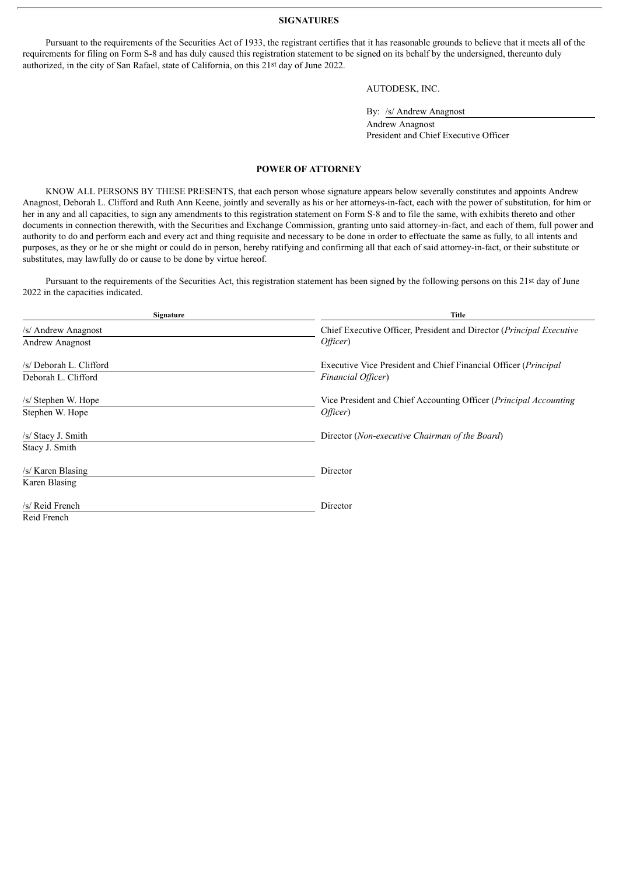#### **SIGNATURES**

<span id="page-5-0"></span>Pursuant to the requirements of the Securities Act of 1933, the registrant certifies that it has reasonable grounds to believe that it meets all of the requirements for filing on Form S-8 and has duly caused this registration statement to be signed on its behalf by the undersigned, thereunto duly authorized, in the city of San Rafael, state of California, on this 21st day of June 2022.

AUTODESK, INC.

By: /s/ Andrew Anagnost

Andrew Anagnost President and Chief Executive Officer

#### **POWER OF ATTORNEY**

KNOW ALL PERSONS BY THESE PRESENTS, that each person whose signature appears below severally constitutes and appoints Andrew Anagnost, Deborah L. Clifford and Ruth Ann Keene, jointly and severally as his or her attorneys-in-fact, each with the power of substitution, for him or her in any and all capacities, to sign any amendments to this registration statement on Form S-8 and to file the same, with exhibits thereto and other documents in connection therewith, with the Securities and Exchange Commission, granting unto said attorney-in-fact, and each of them, full power and authority to do and perform each and every act and thing requisite and necessary to be done in order to effectuate the same as fully, to all intents and purposes, as they or he or she might or could do in person, hereby ratifying and confirming all that each of said attorney-in-fact, or their substitute or substitutes, may lawfully do or cause to be done by virtue hereof.

Pursuant to the requirements of the Securities Act, this registration statement has been signed by the following persons on this 21st day of June 2022 in the capacities indicated.

| Signature                                      | Title                                                                                 |
|------------------------------------------------|---------------------------------------------------------------------------------------|
| /s/ Andrew Anagnost<br>Andrew Anagnost         | Chief Executive Officer, President and Director (Principal Executive<br>Officer)      |
| /s/ Deborah L. Clifford<br>Deborah L. Clifford | Executive Vice President and Chief Financial Officer (Principal<br>Financial Officer) |
| /s/ Stephen W. Hope<br>Stephen W. Hope         | Vice President and Chief Accounting Officer (Principal Accounting<br>Officer)         |
| /s/ Stacy J. Smith<br>Stacy J. Smith           | Director (Non-executive Chairman of the Board)                                        |
| /s/ Karen Blasing<br>Karen Blasing             | Director                                                                              |
| /s/ Reid French<br>Reid French                 | Director                                                                              |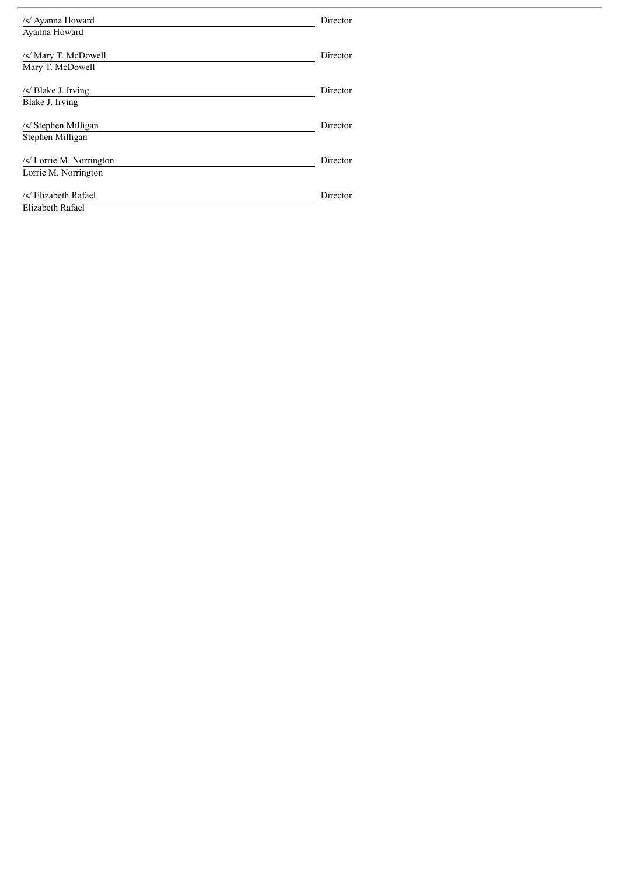| /s/ Ayanna Howard<br>Ayanna Howard               | Director |
|--------------------------------------------------|----------|
| /s/ Mary T. McDowell<br>Mary T. McDowell         | Director |
| /s/ Blake J. Irving<br>Blake J. Irving           | Director |
| /s/ Stephen Milligan<br>Stephen Milligan         | Director |
| /s/ Lorrie M. Norrington<br>Lorrie M. Norrington | Director |
| /s/ Elizabeth Rafael<br>Elizabeth Rafael         | Director |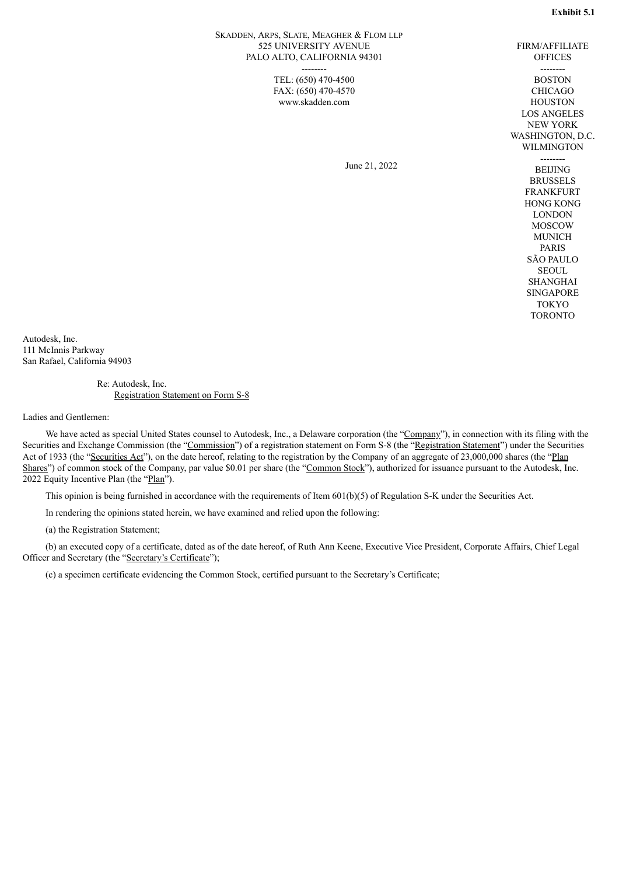FIRM/AFFILIATE

#### <span id="page-7-0"></span>SKADDEN, ARPS, SLATE, MEAGHER & FLOM LLP 525 UNIVERSITY AVENUE PALO ALTO, CALIFORNIA 94301 --------

TEL: (650) 470-4500 FAX: (650) 470-4570 www.skadden.com

June 21, 2022

**OFFICES** -------- BOSTON CHICAGO **HOUSTON** LOS ANGELES NEW YORK WASHINGTON, D.C. WILMINGTON -------- BEIJING **BRUSSELS** FRANKFURT HONG KONG LONDON MOSCOW **MUNICH** PARIS SÃO PAULO **SEOUL** SHANGHAI **SINGAPORE** TOKYO TORONTO

Autodesk, Inc. 111 McInnis Parkway San Rafael, California 94903

> Re: Autodesk, Inc. Registration Statement on Form S-8

Ladies and Gentlemen:

We have acted as special United States counsel to Autodesk, Inc., a Delaware corporation (the "Company"), in connection with its filing with the Securities and Exchange Commission (the "Commission") of a registration statement on Form S-8 (the "Registration Statement") under the Securities Act of 1933 (the "Securities Act"), on the date hereof, relating to the registration by the Company of an aggregate of 23,000,000 shares (the "Plan Shares") of common stock of the Company, par value \$0.01 per share (the "Common Stock"), authorized for issuance pursuant to the Autodesk, Inc. 2022 Equity Incentive Plan (the "Plan").

This opinion is being furnished in accordance with the requirements of Item 601(b)(5) of Regulation S-K under the Securities Act.

In rendering the opinions stated herein, we have examined and relied upon the following:

(a) the Registration Statement;

(b) an executed copy of a certificate, dated as of the date hereof, of Ruth Ann Keene, Executive Vice President, Corporate Affairs, Chief Legal Officer and Secretary (the "Secretary's Certificate");

(c) a specimen certificate evidencing the Common Stock, certified pursuant to the Secretary's Certificate;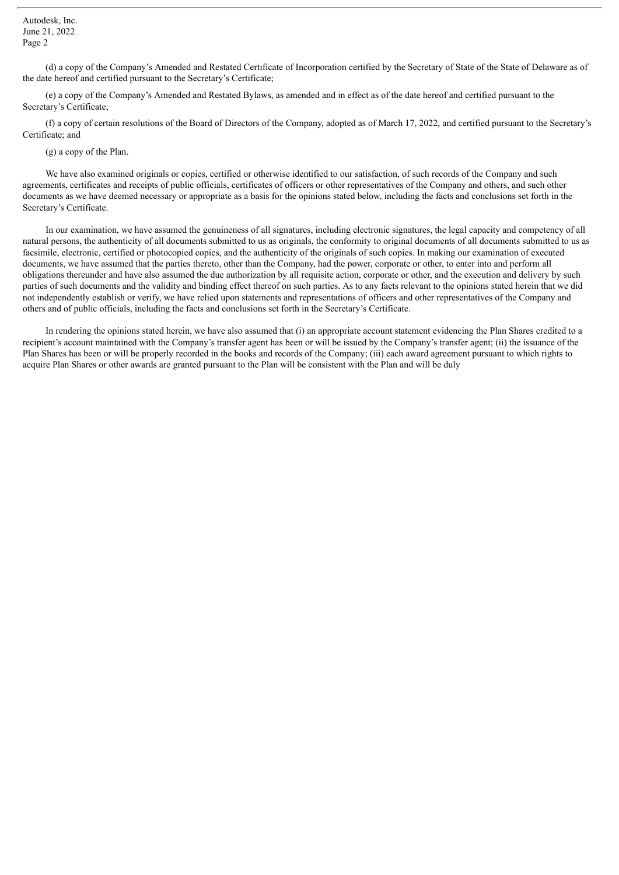Autodesk, Inc. June 21, 2022 Page 2

(d) a copy of the Company's Amended and Restated Certificate of Incorporation certified by the Secretary of State of the State of Delaware as of the date hereof and certified pursuant to the Secretary's Certificate;

(e) a copy of the Company's Amended and Restated Bylaws, as amended and in effect as of the date hereof and certified pursuant to the Secretary's Certificate;

(f) a copy of certain resolutions of the Board of Directors of the Company, adopted as of March 17, 2022, and certified pursuant to the Secretary's Certificate; and

(g) a copy of the Plan.

We have also examined originals or copies, certified or otherwise identified to our satisfaction, of such records of the Company and such agreements, certificates and receipts of public officials, certificates of officers or other representatives of the Company and others, and such other documents as we have deemed necessary or appropriate as a basis for the opinions stated below, including the facts and conclusions set forth in the Secretary's Certificate.

In our examination, we have assumed the genuineness of all signatures, including electronic signatures, the legal capacity and competency of all natural persons, the authenticity of all documents submitted to us as originals, the conformity to original documents of all documents submitted to us as facsimile, electronic, certified or photocopied copies, and the authenticity of the originals of such copies. In making our examination of executed documents, we have assumed that the parties thereto, other than the Company, had the power, corporate or other, to enter into and perform all obligations thereunder and have also assumed the due authorization by all requisite action, corporate or other, and the execution and delivery by such parties of such documents and the validity and binding effect thereof on such parties. As to any facts relevant to the opinions stated herein that we did not independently establish or verify, we have relied upon statements and representations of officers and other representatives of the Company and others and of public officials, including the facts and conclusions set forth in the Secretary's Certificate.

In rendering the opinions stated herein, we have also assumed that (i) an appropriate account statement evidencing the Plan Shares credited to a recipient's account maintained with the Company's transfer agent has been or will be issued by the Company's transfer agent; (ii) the issuance of the Plan Shares has been or will be properly recorded in the books and records of the Company; (iii) each award agreement pursuant to which rights to acquire Plan Shares or other awards are granted pursuant to the Plan will be consistent with the Plan and will be duly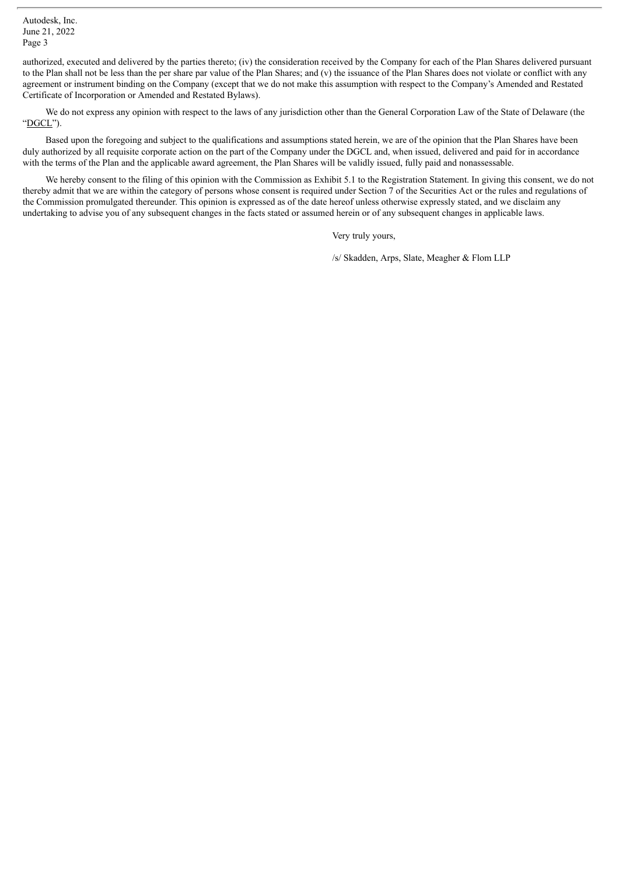authorized, executed and delivered by the parties thereto; (iv) the consideration received by the Company for each of the Plan Shares delivered pursuant to the Plan shall not be less than the per share par value of the Plan Shares; and (v) the issuance of the Plan Shares does not violate or conflict with any agreement or instrument binding on the Company (except that we do not make this assumption with respect to the Company's Amended and Restated Certificate of Incorporation or Amended and Restated Bylaws).

We do not express any opinion with respect to the laws of any jurisdiction other than the General Corporation Law of the State of Delaware (the "DGCL").

Based upon the foregoing and subject to the qualifications and assumptions stated herein, we are of the opinion that the Plan Shares have been duly authorized by all requisite corporate action on the part of the Company under the DGCL and, when issued, delivered and paid for in accordance with the terms of the Plan and the applicable award agreement, the Plan Shares will be validly issued, fully paid and nonassessable.

We hereby consent to the filing of this opinion with the Commission as Exhibit 5.1 to the Registration Statement. In giving this consent, we do not thereby admit that we are within the category of persons whose consent is required under Section  $\overline{7}$  of the Securities Act or the rules and regulations of the Commission promulgated thereunder. This opinion is expressed as of the date hereof unless otherwise expressly stated, and we disclaim any undertaking to advise you of any subsequent changes in the facts stated or assumed herein or of any subsequent changes in applicable laws.

Very truly yours,

/s/ Skadden, Arps, Slate, Meagher & Flom LLP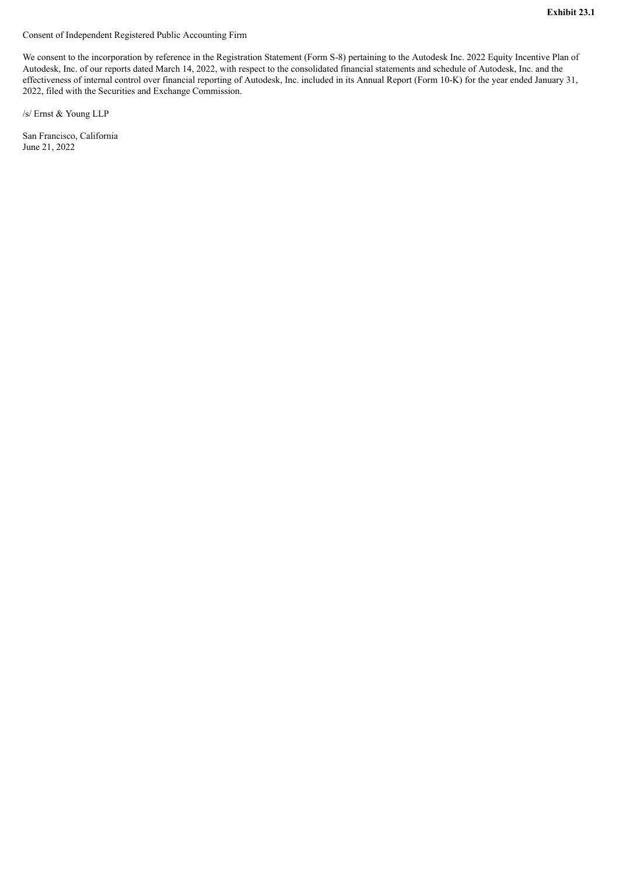<span id="page-10-0"></span>Consent of Independent Registered Public Accounting Firm

We consent to the incorporation by reference in the Registration Statement (Form S-8) pertaining to the Autodesk Inc. 2022 Equity Incentive Plan of Autodesk, Inc. of our reports dated March 14, 2022, with respect to the consolidated financial statements and schedule of Autodesk, Inc. and the effectiveness of internal control over financial reporting of Autodesk, Inc. included in its Annual Report (Form 10-K) for the year ended January 31, 2022, filed with the Securities and Exchange Commission.

/s/ Ernst & Young LLP

San Francisco, California June 21, 2022